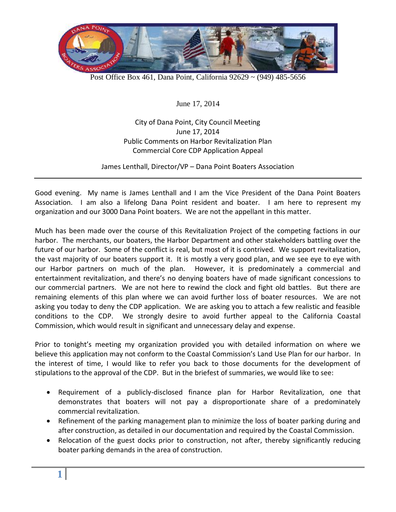

Post Office Box 461, Dana Point, California 92629 ~ (949) 485-5656

June 17, 2014

City of Dana Point, City Council Meeting June 17, 2014 Public Comments on Harbor Revitalization Plan Commercial Core CDP Application Appeal

James Lenthall, Director/VP – Dana Point Boaters Association

Good evening. My name is James Lenthall and I am the Vice President of the Dana Point Boaters Association. I am also a lifelong Dana Point resident and boater. I am here to represent my organization and our 3000 Dana Point boaters. We are not the appellant in this matter.

Much has been made over the course of this Revitalization Project of the competing factions in our harbor. The merchants, our boaters, the Harbor Department and other stakeholders battling over the future of our harbor. Some of the conflict is real, but most of it is contrived. We support revitalization, the vast majority of our boaters support it. It is mostly a very good plan, and we see eye to eye with our Harbor partners on much of the plan. However, it is predominately a commercial and entertainment revitalization, and there's no denying boaters have of made significant concessions to our commercial partners. We are not here to rewind the clock and fight old battles. But there are remaining elements of this plan where we can avoid further loss of boater resources. We are not asking you today to deny the CDP application. We are asking you to attach a few realistic and feasible conditions to the CDP. We strongly desire to avoid further appeal to the California Coastal Commission, which would result in significant and unnecessary delay and expense.

Prior to tonight's meeting my organization provided you with detailed information on where we believe this application may not conform to the Coastal Commission's Land Use Plan for our harbor. In the interest of time, I would like to refer you back to those documents for the development of stipulations to the approval of the CDP. But in the briefest of summaries, we would like to see:

- Requirement of a publicly-disclosed finance plan for Harbor Revitalization, one that demonstrates that boaters will not pay a disproportionate share of a predominately commercial revitalization.
- Refinement of the parking management plan to minimize the loss of boater parking during and after construction, as detailed in our documentation and required by the Coastal Commission.
- Relocation of the guest docks prior to construction, not after, thereby significantly reducing boater parking demands in the area of construction.